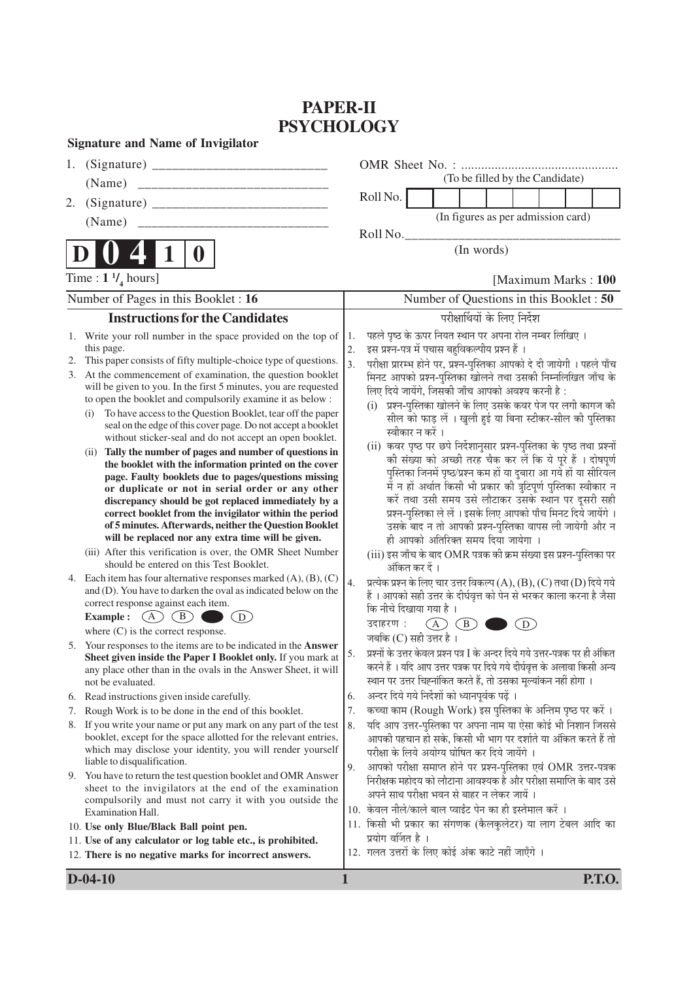# **PAPER-II PSYCHOLOGY**

| <b>Signature and Name of Invigilator</b> |  |  |  |  |  |
|------------------------------------------|--|--|--|--|--|
|------------------------------------------|--|--|--|--|--|

| 1.             |                                                                                                                                                                                                                                                                                                                                                                                                                                                                                                                                                                                                             |                                          |                                                                                                                                                                                                                                                                                                                                                                                                                                                                                                                                                         |                             |                                    |  |     |  |  |               |
|----------------|-------------------------------------------------------------------------------------------------------------------------------------------------------------------------------------------------------------------------------------------------------------------------------------------------------------------------------------------------------------------------------------------------------------------------------------------------------------------------------------------------------------------------------------------------------------------------------------------------------------|------------------------------------------|---------------------------------------------------------------------------------------------------------------------------------------------------------------------------------------------------------------------------------------------------------------------------------------------------------------------------------------------------------------------------------------------------------------------------------------------------------------------------------------------------------------------------------------------------------|-----------------------------|------------------------------------|--|-----|--|--|---------------|
|                | (Name)                                                                                                                                                                                                                                                                                                                                                                                                                                                                                                                                                                                                      |                                          | (To be filled by the Candidate)                                                                                                                                                                                                                                                                                                                                                                                                                                                                                                                         |                             |                                    |  |     |  |  |               |
| 2.             |                                                                                                                                                                                                                                                                                                                                                                                                                                                                                                                                                                                                             |                                          | Roll No.                                                                                                                                                                                                                                                                                                                                                                                                                                                                                                                                                |                             |                                    |  |     |  |  |               |
|                |                                                                                                                                                                                                                                                                                                                                                                                                                                                                                                                                                                                                             |                                          |                                                                                                                                                                                                                                                                                                                                                                                                                                                                                                                                                         |                             | (In figures as per admission card) |  |     |  |  |               |
|                | (Name)                                                                                                                                                                                                                                                                                                                                                                                                                                                                                                                                                                                                      |                                          | Roll No.                                                                                                                                                                                                                                                                                                                                                                                                                                                                                                                                                |                             |                                    |  |     |  |  |               |
|                | $\mathbf 0$                                                                                                                                                                                                                                                                                                                                                                                                                                                                                                                                                                                                 |                                          |                                                                                                                                                                                                                                                                                                                                                                                                                                                                                                                                                         |                             | (In words)                         |  |     |  |  |               |
|                | Time : $1 \frac{1}{4}$ hours]                                                                                                                                                                                                                                                                                                                                                                                                                                                                                                                                                                               | [Maximum Marks: 100]                     |                                                                                                                                                                                                                                                                                                                                                                                                                                                                                                                                                         |                             |                                    |  |     |  |  |               |
|                | Number of Pages in this Booklet: 16                                                                                                                                                                                                                                                                                                                                                                                                                                                                                                                                                                         | Number of Questions in this Booklet : 50 |                                                                                                                                                                                                                                                                                                                                                                                                                                                                                                                                                         |                             |                                    |  |     |  |  |               |
|                | <b>Instructions for the Candidates</b>                                                                                                                                                                                                                                                                                                                                                                                                                                                                                                                                                                      |                                          |                                                                                                                                                                                                                                                                                                                                                                                                                                                                                                                                                         |                             | परीक्षार्थियों के लिए निर्देश      |  |     |  |  |               |
| 1.<br>2.<br>3. | Write your roll number in the space provided on the top of<br>this page.<br>This paper consists of fifty multiple-choice type of questions.<br>At the commencement of examination, the question booklet<br>will be given to you. In the first 5 minutes, you are requested<br>to open the booklet and compulsorily examine it as below :                                                                                                                                                                                                                                                                    | 1.<br>2.<br>3.                           | पहले पृष्ठ के ऊपर नियत स्थान पर अपना रोल नम्बर लिखिए ।<br>इस प्रश्न-पत्र में पचास बहुविकल्पीय प्रश्न हैं ।<br>परीक्षा प्रारम्भ होने पर, प्रश्न-पुस्तिका आपको दे दी जायेगी । पहले पाँच<br>मिनट आपको प्रश्न-पुस्तिका खोलने तथा उसकी निम्नलिखित जाँच के<br>लिए दिये जायेंगे, जिसकी जाँच आपको अवश्य करनी है:<br>प्रश्न-पुस्तिका खोलने के लिए उसके कवर पेज पर लगी कागज की<br>(i)                                                                                                                                                                             |                             |                                    |  |     |  |  |               |
|                | To have access to the Question Booklet, tear off the paper<br>(i)<br>seal on the edge of this cover page. Do not accept a booklet<br>without sticker-seal and do not accept an open booklet.<br>Tally the number of pages and number of questions in<br>(i)<br>the booklet with the information printed on the cover<br>page. Faulty booklets due to pages/questions missing<br>or duplicate or not in serial order or any other<br>discrepancy should be got replaced immediately by a<br>correct booklet from the invigilator within the period<br>of 5 minutes. Afterwards, neither the Question Booklet |                                          | सील को फाड़ लें । खुली हुई या बिना स्टीकर-सील की पुस्तिका<br>स्वीकार न करें ।<br>(ii) कवर पृष्ठ पर छपे निर्देशानुसार प्रश्न-पुस्तिका के पृष्ठ तथा प्रश्नों<br>की संख्या को अच्छी तरह चैक कर लें कि ये पूरे हैं । दोषपूर्ण<br>पुस्तिका जिनमें पृष्ठ/प्रश्न कम हों या दुबारा आ गये हों या सीरियल<br>में न हों अर्थात किसी भी प्रकार की त्रुटिपूर्ण पुस्तिका स्वीकार न<br>करें तथा उसी समय उसे लौटाकर उसके स्थान पर दूसरी सही<br>प्रश्न-पुस्तिका ले लें । इसके लिए आपको पाँच मिनट दिये जायेंगे ।<br>उसके बाद न तो आपकी प्रश्न-पुस्तिका वापस ली जायेगी और न |                             |                                    |  |     |  |  |               |
|                | will be replaced nor any extra time will be given.<br>(iii) After this verification is over, the OMR Sheet Number<br>should be entered on this Test Booklet.                                                                                                                                                                                                                                                                                                                                                                                                                                                |                                          | ही आपको अतिरिक्त समय दिया जायेगा ।<br>(iii) इस जाँच के बाद OMR पत्रक की क्रम संख्या इस प्रश्न-पुस्तिका पर<br>अंकित कर दें ।                                                                                                                                                                                                                                                                                                                                                                                                                             |                             |                                    |  |     |  |  |               |
|                | 4. Each item has four alternative responses marked $(A)$ , $(B)$ , $(C)$<br>and (D). You have to darken the oval as indicated below on the<br>correct response against each item.<br>$(A)$ $(B)$<br>(D)<br><b>Example:</b><br>where $(C)$ is the correct response.                                                                                                                                                                                                                                                                                                                                          | 4.                                       | प्रत्येक प्रश्न के लिए चार उत्तर विकल्प (A), (B), (C) तथा (D) दिये गये<br>हैं । आपको सही उत्तर के दीर्घवृत्त को पेन से भरकर काला करना है जैसा<br>कि नीचे दिखाया गया है ।<br>उदाहरण :                                                                                                                                                                                                                                                                                                                                                                    | $\left(\overline{A}\right)$ | (B)                                |  | (D) |  |  |               |
|                | 5. Your responses to the items are to be indicated in the Answer<br>Sheet given inside the Paper I Booklet only. If you mark at<br>any place other than in the ovals in the Answer Sheet, it will<br>not be evaluated.                                                                                                                                                                                                                                                                                                                                                                                      | 5.                                       | जबकि (C) सही उत्तर है ।<br>प्रश्नों के उत्तर केवल प्रश्न पत्र I के अन्दर दिये गये उत्तर-पत्रक पर ही अंकित<br>करने हैं । यदि आप उत्तर पत्रक पर दिये गये दीर्घवृत्त के अलावा किसी अन्य<br>स्थान पर उत्तर चिह्नांकित करते हैं, तो उसका मूल्यांकन नहीं होगा ।                                                                                                                                                                                                                                                                                               |                             |                                    |  |     |  |  |               |
|                | 6. Read instructions given inside carefully.                                                                                                                                                                                                                                                                                                                                                                                                                                                                                                                                                                | 6.                                       | अन्दर दिये गये निर्देशों को ध्यानपूर्वक पढ़ें ।                                                                                                                                                                                                                                                                                                                                                                                                                                                                                                         |                             |                                    |  |     |  |  |               |
| 7.             | Rough Work is to be done in the end of this booklet.                                                                                                                                                                                                                                                                                                                                                                                                                                                                                                                                                        | 7.                                       | कच्चा काम (Rough Work) इस पुस्तिका के अन्तिम पृष्ठ पर करें ।                                                                                                                                                                                                                                                                                                                                                                                                                                                                                            |                             |                                    |  |     |  |  |               |
| 8.             | If you write your name or put any mark on any part of the test<br>booklet, except for the space allotted for the relevant entries,<br>which may disclose your identity, you will render yourself<br>liable to disqualification.                                                                                                                                                                                                                                                                                                                                                                             | 8.                                       | यदि आप उत्तर-पुस्तिका पर अपना नाम या ऐसा कोई भी निशान जिससे<br>आपकी पहचान हो सके, किसी भी भाग पर दर्शाते या अंकित करते हैं तो<br>परीक्षा के लिये अयोग्य घोषित कर दिये जायेंगे ।                                                                                                                                                                                                                                                                                                                                                                         |                             |                                    |  |     |  |  |               |
|                | 9. You have to return the test question booklet and OMR Answer<br>sheet to the invigilators at the end of the examination<br>compulsorily and must not carry it with you outside the<br>Examination Hall.                                                                                                                                                                                                                                                                                                                                                                                                   | 9.                                       | आपको परीक्षा समाप्त होने पर प्रश्न-पुस्तिका एवं OMR उत्तर-पत्रक<br>निरीक्षक महोदय को लौटाना आवश्यक है और परीक्षा समाप्ति के बाद उसे<br>अपने साथ परीक्षा भवन से बाहर न लेकर जायें ।<br>10. केवल नीले/काले बाल प्वाईंट पेन का ही इस्तेमाल करें ।                                                                                                                                                                                                                                                                                                          |                             |                                    |  |     |  |  |               |
|                | 10. Use only Blue/Black Ball point pen.                                                                                                                                                                                                                                                                                                                                                                                                                                                                                                                                                                     |                                          | 11. किसी भी प्रकार का संगणक (कैलकुलेटर) या लाग टेबल आदि का                                                                                                                                                                                                                                                                                                                                                                                                                                                                                              |                             |                                    |  |     |  |  |               |
|                | 11. Use of any calculator or log table etc., is prohibited.                                                                                                                                                                                                                                                                                                                                                                                                                                                                                                                                                 |                                          | प्रयोग वर्जित है ।<br>12. गलत उत्तरों के लिए कोई अंक काटे नहीं जाएँगे ।                                                                                                                                                                                                                                                                                                                                                                                                                                                                                 |                             |                                    |  |     |  |  |               |
|                | 12. There is no negative marks for incorrect answers.                                                                                                                                                                                                                                                                                                                                                                                                                                                                                                                                                       |                                          |                                                                                                                                                                                                                                                                                                                                                                                                                                                                                                                                                         |                             |                                    |  |     |  |  |               |
|                | $D-04-10$                                                                                                                                                                                                                                                                                                                                                                                                                                                                                                                                                                                                   | 1                                        |                                                                                                                                                                                                                                                                                                                                                                                                                                                                                                                                                         |                             |                                    |  |     |  |  | <b>P.T.O.</b> |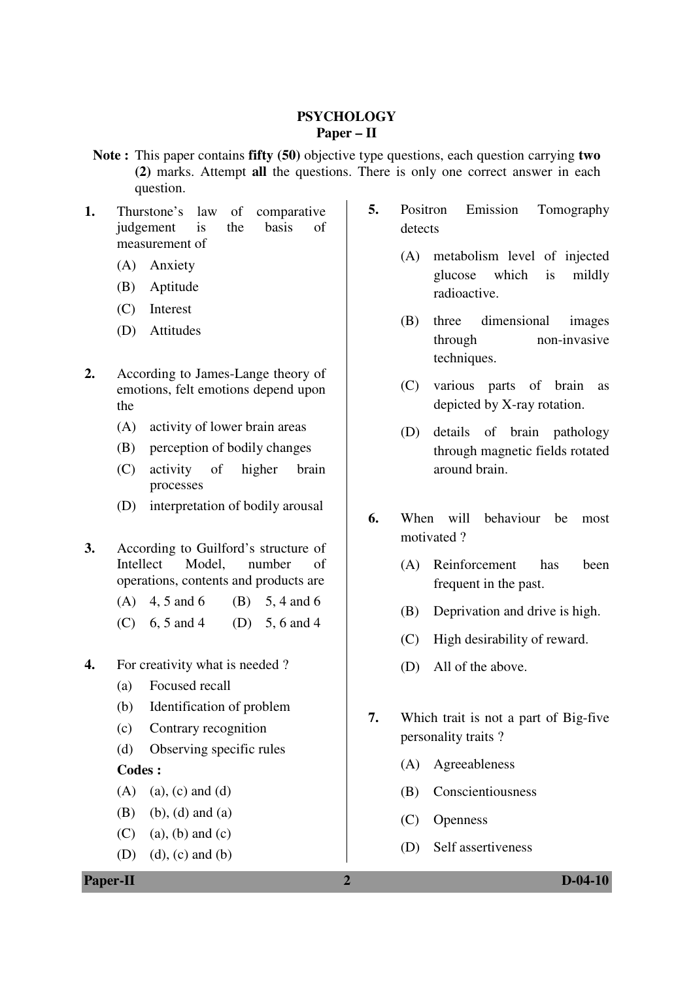#### **PSYCHOLOGY Paper – II**

- **Note :** This paper contains **fifty (50)** objective type questions, each question carrying **two (2)** marks. Attempt **all** the questions. There is only one correct answer in each question.
- **1.** Thurstone's law of comparative judgement is the basis of measurement of
	- (A) Anxiety
	- (B) Aptitude
	- (C) Interest
	- (D) Attitudes
- **2.** According to James-Lange theory of emotions, felt emotions depend upon the
	- (A) activity of lower brain areas
	- (B) perception of bodily changes
	- (C) activity of higher brain processes
	- (D) interpretation of bodily arousal
- **3.** According to Guilford's structure of Intellect Model, number of operations, contents and products are
	- (A)  $4, 5$  and  $6$  (B)  $5, 4$  and  $6$
	- (C) 6, 5 and 4 (D) 5, 6 and 4
- **4.** For creativity what is needed ?
	- (a) Focused recall
	- (b) Identification of problem
	- (c) Contrary recognition
	- (d) Observing specific rules

#### **Codes :**

- $(A)$  (a), (c) and (d)
- (B) (b), (d) and (a)
- $(C)$  (a), (b) and (c)
- (D) (d), (c) and (b)

## **5.** Positron Emission Tomography detects

- (A) metabolism level of injected glucose which is mildly radioactive.
- (B) three dimensional images through non-invasive techniques.
- (C) various parts of brain as depicted by X-ray rotation.
- (D) details of brain pathology through magnetic fields rotated around brain.
- **6.** When will behaviour be most motivated ?
	- (A) Reinforcement has been frequent in the past.
	- (B) Deprivation and drive is high.
	- (C) High desirability of reward.
	- (D) All of the above.
- **7.** Which trait is not a part of Big-five personality traits ?
	- (A) Agreeableness
	- (B) Conscientiousness
	- (C) Openness
	- (D) Self assertiveness

**Paper-II 2 D-04-10**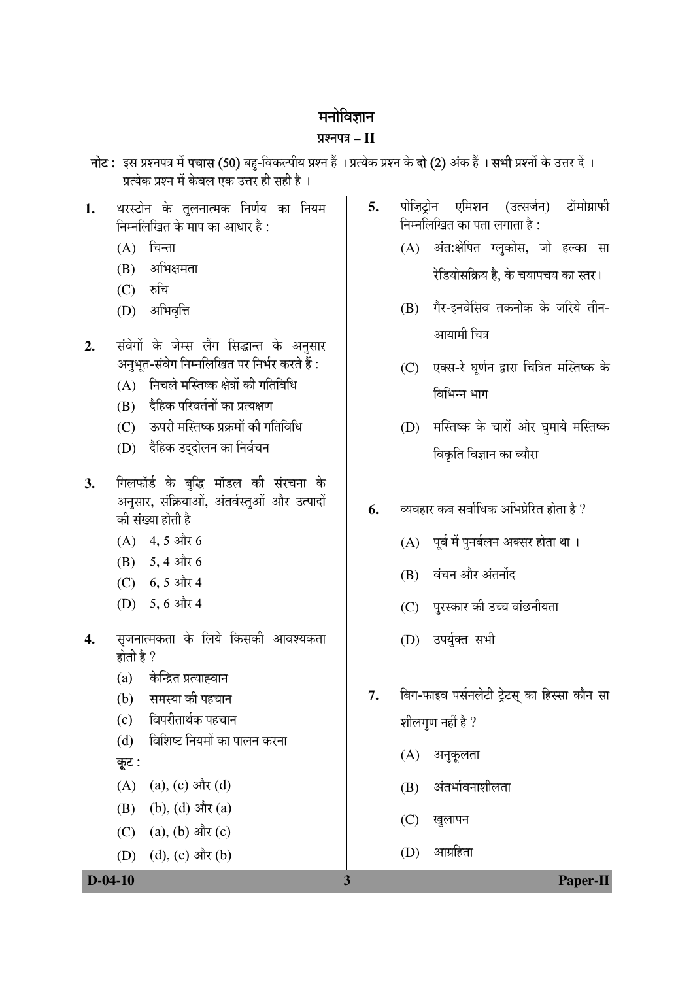## मनोविज्ञान

## प्रश्नपत्र $-$ II

- नोट : इस प्रश्नपत्र में पचास (50) बह-विकल्पीय प्रश्न हैं । प्रत्येक प्रश्न के **दो (2)** अंक हैं । **सभी** प्रश्नों के उत्तर दें । प्रत्येक प्रश्न में केवल एक उत्तर ही सही है।
- थरस्टोन के तुलनात्मक निर्णय का नियम  $1.$ निम्नलिखित के माप का आधार है :
	- $(A)$  चिन्ता
	- अभिक्षमता (B)
	- $(C)$  रुचि
	- (D) अभिवृत्ति
- संवेगों के जेम्स लैंग सिद्धान्त के अनुसार  $2.$ अनभत-संवेग निम्नलिखित पर निर्भर करते हैं:
	- (A) निचले मस्तिष्क क्षेत्रों की गतिविधि
	- दैहिक परिवर्तनों का प्रत्यक्षण  $(R)$
	- ऊपरी मस्तिष्क प्रक्रमों की गतिविधि  $(C)$
	- (D) दैहिक उददोलन का निर्वचन
- गिलफॉर्ड के बुद्धि मॉडल की संरचना के  $3.$ अनुसार, संक्रियाओं, अंतर्वस्तुओं और उत्पादों की संख्या होती है
	- $(A)$  4, 5 और 6
	- (B)  $5, 4$  और 6
	- $(C)$  6.5 और 4
	- (D) 5, 6 और 4
- सुजनात्मकता के लिये किसकी आवश्यकता  $\overline{4}$ . होती है ?
	- $(a)$ केन्द्रित प्रत्याह्वान
	- समस्या की पहचान  $(b)$
	- विपरीतार्थक पहचान  $(c)$
	- विशिष्ट नियमों का पालन करना  $(d)$

## कूट :

- (A) (a), (c) और (d)
- (B) (b), (d) और (a)
- (a), (b) और  $(c)$  $(C)$
- (D) (d), (c) और (b)
- पोजिटोन एमिशन (उत्सर्जन) टॉमोग्राफी  $5<sub>1</sub>$ निम्नलिखित का पता लगाता है :
	- (A) अंत:क्षेपित ग्लुकोस, जो हल्का सा रेडियोसक्रिय है. के चयापचय का स्तर।
	- (B) गैर-इनवेसिव तकनीक के जरिये तीन-आयामी चित्र
	- (C) एक्स-रे घर्णन द्वारा चित्रित मस्तिष्क के विभिन्न भाग
	- (D) मस्तिष्क के चारों ओर घमाये मस्तिष्क विकृति विज्ञान का ब्यौरा
- व्यवहार कब सर्वाधिक अभिप्रेरित होता है ? 6.
	- (A) पर्व में पनर्बलन अक्सर होता था।
	- (B) वंचन और अंतर्नोद
	- (C) पुरस्कार की उच्च वांछनीयता
	- (D) उपर्युक्त सभी
- बिग-फाइव पर्सनलेटी टेटस का हिस्सा कौन सा 7. शीलगुण नहीं है ?
	- (A) अनुकूलता
	- (B) अंतर्भावनाशीलता
	- $(C)$  खुलापन
	- (D) आग्रहिता

3

#### $D-04-10$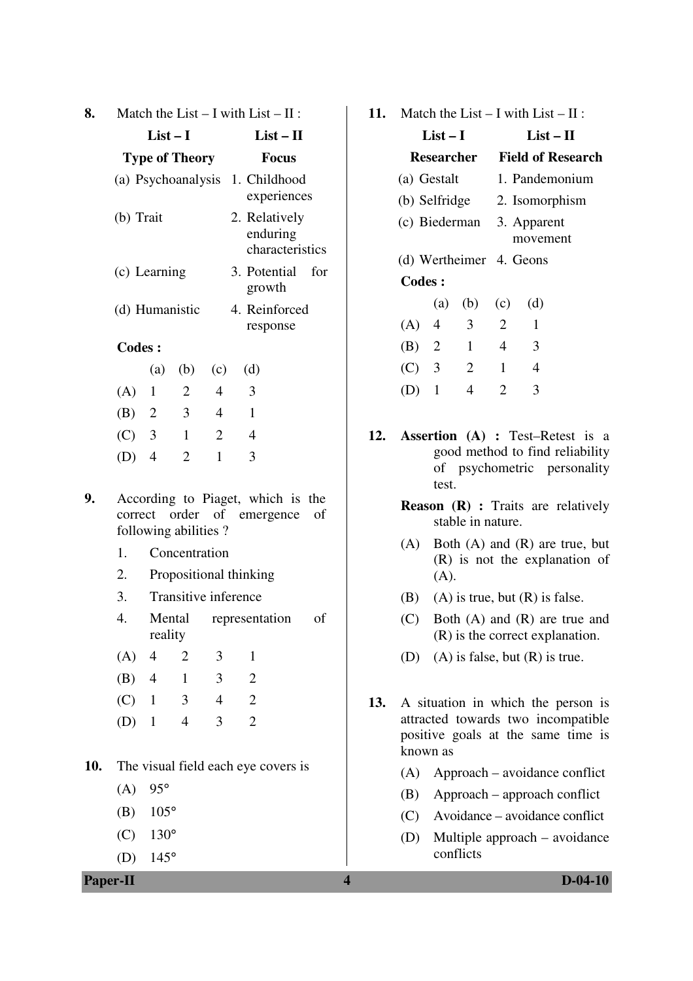| 8.  |               |                  |                       |                      | Match the List $- I$ with List $- II$ :                         |  |    |  |  |
|-----|---------------|------------------|-----------------------|----------------------|-----------------------------------------------------------------|--|----|--|--|
|     |               | $List-I$         |                       |                      | $List-II$                                                       |  |    |  |  |
|     |               |                  | <b>Type of Theory</b> |                      | <b>Focus</b>                                                    |  |    |  |  |
|     |               |                  |                       |                      | (a) Psychoanalysis 1. Childhood<br>experiences                  |  |    |  |  |
|     | (b) Trait     |                  |                       |                      | 2. Relatively<br>enduring<br>characteristics                    |  |    |  |  |
|     |               | (c) Learning     |                       |                      | 3. Potential for<br>growth                                      |  |    |  |  |
|     |               |                  | (d) Humanistic        |                      | 4. Reinforced<br>response                                       |  |    |  |  |
|     | <b>Codes:</b> |                  |                       |                      |                                                                 |  |    |  |  |
|     |               |                  |                       | (a) (b) (c)          | (d)                                                             |  |    |  |  |
|     | $(A)$ 1       |                  | 2                     | $\overline{4}$       | $\overline{3}$                                                  |  |    |  |  |
|     |               |                  | (B) 2 3 4             |                      | $\overline{1}$                                                  |  |    |  |  |
|     | $(C)$ 3       |                  | $\overline{1}$        | 2                    | $\overline{4}$                                                  |  |    |  |  |
|     | $(D)$ 4       |                  | $\overline{2}$        | $\mathbf{1}$         | 3                                                               |  |    |  |  |
| 9.  |               |                  | following abilities?  |                      | According to Piaget, which is the<br>correct order of emergence |  | οf |  |  |
|     | 1.            |                  | Concentration         |                      |                                                                 |  |    |  |  |
|     | 2.            |                  |                       |                      | Propositional thinking                                          |  |    |  |  |
|     | 3.            |                  |                       | Transitive inference |                                                                 |  |    |  |  |
|     | 4.            | reality          | Mental                |                      | representation                                                  |  | of |  |  |
|     | $(A)$ 4       |                  | 2                     | 3                    | $\mathbf{1}$                                                    |  |    |  |  |
|     | $(B)$ 4       |                  | $\mathbf{1}$          | $\mathfrak{Z}$       | $\overline{2}$                                                  |  |    |  |  |
|     | $(C)$ 1       |                  | $\overline{3}$        | $\overline{4}$       | $\overline{2}$                                                  |  |    |  |  |
|     | (D)           | $\mathbf{1}$     | $\overline{4}$        | 3                    | $\overline{2}$                                                  |  |    |  |  |
| 10. |               |                  |                       |                      | The visual field each eye covers is                             |  |    |  |  |
|     |               | $(A) 95^{\circ}$ |                       |                      |                                                                 |  |    |  |  |

- (B) 105°
- $(C)$  130 $^{\circ}$
- (D) 145°

**Paper-II 4 D-04-10**

**11.** Match the List – I with List – II :

|                           | List $-$ I |              |                              | List – H       |                          |  |  |  |
|---------------------------|------------|--------------|------------------------------|----------------|--------------------------|--|--|--|
|                           |            | Researcher   |                              |                | <b>Field of Research</b> |  |  |  |
| (a) Gestalt               |            |              |                              | 1. Pandemonium |                          |  |  |  |
|                           |            |              | (b) Selfridge 2. Isomorphism |                |                          |  |  |  |
| (c) Biederman 3. Apparent |            |              | movement                     |                |                          |  |  |  |
| (d) Wertheimer 4. Geons   |            |              |                              |                |                          |  |  |  |
| Codes:                    |            |              |                              |                |                          |  |  |  |
|                           |            | $(a)$ $(b)$  | (c)                          | (d)            |                          |  |  |  |
| (A) 4                     |            | 3            | 2                            | 1              |                          |  |  |  |
| (B) 2                     |            | $\mathbf{1}$ | $\overline{4}$               | 3              |                          |  |  |  |
| $(C)$ 3                   |            | 2            | $\mathbf{1}$                 | 4              |                          |  |  |  |
| D)                        | 1          | 4            | $\mathcal{D}_{\cdot}$        | 3              |                          |  |  |  |

- **12. Assertion (A) :** Test–Retest is a good method to find reliability of psychometric personality test.
	- **Reason (R) :** Traits are relatively stable in nature.
	- (A) Both (A) and (R) are true, but (R) is not the explanation of (A).
	- (B) (A) is true, but  $(R)$  is false.
	- (C) Both (A) and (R) are true and (R) is the correct explanation.
	- (D) (A) is false, but (R) is true.
- **13.** A situation in which the person is attracted towards two incompatible positive goals at the same time is known as
	- (A) Approach avoidance conflict
	- (B) Approach approach conflict
	- (C) Avoidance avoidance conflict
	- (D) Multiple approach avoidance conflicts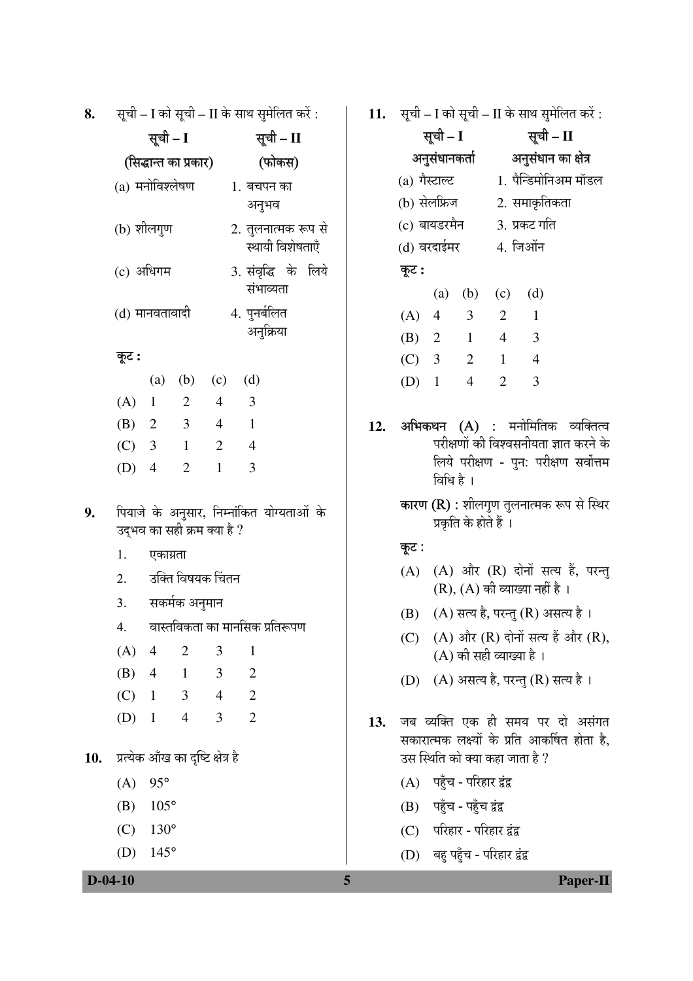सूची – I को सूची – II के साथ सुमेलित करें : 8.

|                | सूची – I        |                         |                | सूची – II                               |  |  |  |  |
|----------------|-----------------|-------------------------|----------------|-----------------------------------------|--|--|--|--|
|                |                 | (सिद्धान्त का प्रकार)   |                | (फोकस)                                  |  |  |  |  |
|                | (a) मनोविश्लेषण |                         |                | 1. बचपन का<br>अनूभव                     |  |  |  |  |
|                | (b) शीलगुण      |                         |                | 2. तुलनात्मक रूप से<br>स्थायी विशेषताएँ |  |  |  |  |
|                | (c) अधिगम       |                         |                | 3. संवृद्धि के लिये<br>संभाव्यता        |  |  |  |  |
| (d) मानवतावादी |                 |                         |                | 4. पुनर्बलित<br>अनुक्रिया               |  |  |  |  |
| कूट :          |                 |                         |                |                                         |  |  |  |  |
|                | (a)             | (b)                     | (c)            | (d)                                     |  |  |  |  |
| (A)            | $\overline{1}$  | 2                       | $\overline{4}$ | 3                                       |  |  |  |  |
| (B) 2          |                 | $\overline{\mathbf{3}}$ | $\overline{4}$ | $\blacksquare$                          |  |  |  |  |
| $(C)$ 3        |                 | $\overline{1}$          | $\overline{2}$ | $\overline{4}$                          |  |  |  |  |
| (D)            | 4               | $\overline{2}$          | 1              | 3                                       |  |  |  |  |
|                |                 |                         |                |                                         |  |  |  |  |

- पियाजे के अनुसार, निम्नांकित योग्यताओं के 9. उद्भव का सही क्रम क्या है ?
	- 1. एकाग्रता
	- उक्ति विषयक चिंतन  $2.$
	- सकर्मक अनुमान 3.
	- वास्तविकता का मानसिक प्रतिरूपण 4.
	- $(A)$  4  $\mathcal{L}$ 3  $\mathbf{1}$
	- (B)  $\overline{4}$  $\mathbf{1}$ 3  $\overline{2}$
	- 3  $\overline{4}$  $\overline{2}$  $(C)$  $\overline{1}$
	- $\overline{3}$  $\overline{2}$  $(D)$  1  $\overline{4}$
- 10. प्रत्येक आँख का दृष्टि क्षेत्र है
	- $(A) 95^{\circ}$
	- $105^{\circ}$ (B)
	- $(C)$  $130^\circ$
	- (D)  $145^{\circ}$

11. सूची - I को सूची - II के साथ सुमेलित करें:

|               | सूची – I      |                |                | सूची – II            |  |  |  |
|---------------|---------------|----------------|----------------|----------------------|--|--|--|
|               | अनुसंधानकर्ता |                |                | अनुसंधान का क्षेत्र  |  |  |  |
| (a) गैस्टाल्ट |               |                |                | 1. पैन्डिमोनिअम मॉडल |  |  |  |
|               | (b) सेलफ्रिज  |                | 2. समाक्रतिकता |                      |  |  |  |
| (c) बायडरमैन  |               |                | 3. प्रकट गति   |                      |  |  |  |
| (d) वरदाईमर   |               |                |                | 4. जिओंन             |  |  |  |
| कूट :         |               |                |                |                      |  |  |  |
|               |               | $(a)$ $(b)$    | (c)            | (d)                  |  |  |  |
| $(A)$ 4       |               | $\overline{3}$ | $\overline{2}$ | 1                    |  |  |  |
| (B) 2         |               | 1              | $\overline{4}$ | 3                    |  |  |  |
| (C)           | 3             | 2              | 1              | 4                    |  |  |  |
| (D)           | $\mathbf{1}$  | 4              | 2              | 3                    |  |  |  |

- अ**भिकथन (A) :** मनोमितिक व्यक्तित्व 12. परीक्षणों की विश्वसनीयता ज्ञात करने के लिये परीक्षण - पुन: परीक्षण सर्वोत्तम विधि है ।
	- **कारण (R) :** शीलगण तलनात्मक रूप से स्थिर प्रकृति के होते हैं ।

#### कूट :

- (A) (A) और (R) दोनों सत्य हैं, परन्तु  $(R)$ ,  $(A)$  की व्याख्या नहीं है।
- (B) (A) सत्य है, परन्तु (R) असत्य है।
- (C) (A) और (R) दोनों सत्य हैं और (R),  $(A)$  की सही व्याख्या है।
- (D) (A) असत्य है, परन्तु (R) सत्य है।
- 13. जब व्यक्ति एक ही समय पर दो असंगत सकारात्मक लक्ष्यों के प्रति आकर्षित होता है. उस स्थिति को क्या कहा जाता है ?
	- (A) पहुँच परिहार द्वंद्व
	- (B) पहुँच पहुँच द्वंद्व

5

- (C) परिहार परिहार द्वंद्व
- (D) बहु पहुँच परिहार द्वंद्व

#### $D-04-10$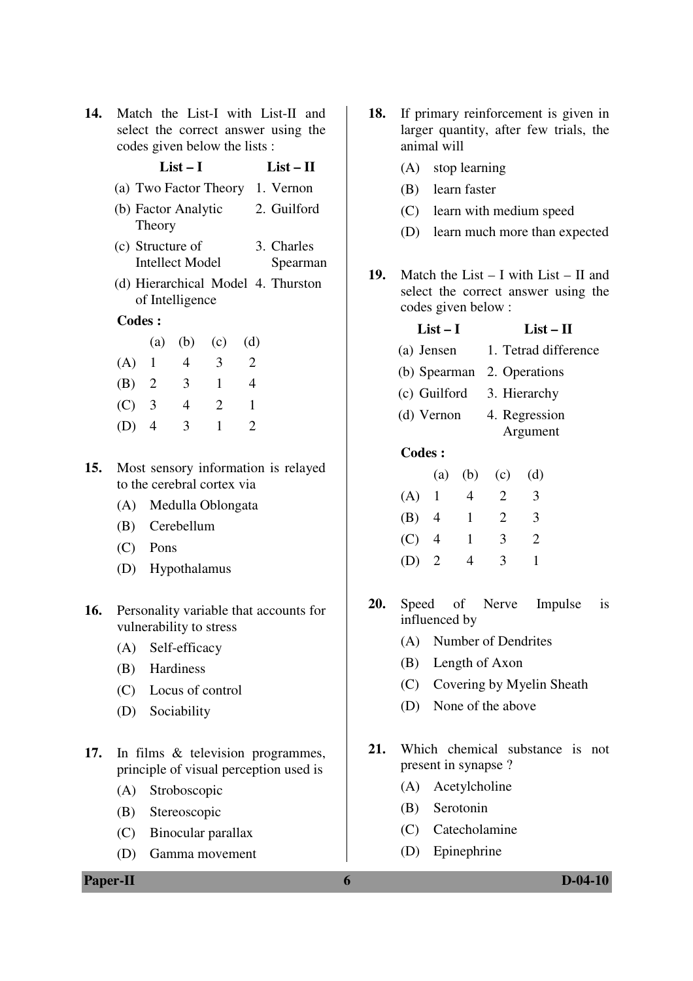| <b>14.</b> Match the List-I with List-II and |
|----------------------------------------------|
| select the correct answer using the          |
| codes given below the lists :                |

| coucs given below the fists. |           |                                            |                         |                |                                 |                                    |  |  |
|------------------------------|-----------|--------------------------------------------|-------------------------|----------------|---------------------------------|------------------------------------|--|--|
|                              | $List-I$  |                                            |                         | $List-II$      |                                 |                                    |  |  |
|                              |           |                                            |                         |                | (a) Two Factor Theory 1. Vernon |                                    |  |  |
|                              | Theory    | (b) Factor Analytic                        |                         |                |                                 | 2. Guilford                        |  |  |
|                              |           | (c) Structure of<br><b>Intellect Model</b> |                         |                |                                 | 3. Charles<br>Spearman             |  |  |
|                              |           | of Intelligence                            |                         |                |                                 | (d) Hierarchical Model 4. Thurston |  |  |
| <b>Codes:</b>                |           |                                            |                         |                |                                 |                                    |  |  |
|                              |           |                                            | (a) (b) (c)             | (d)            |                                 |                                    |  |  |
|                              | $(A)$ 1 4 |                                            | $\overline{\mathbf{3}}$ | $\overline{2}$ |                                 |                                    |  |  |
| (B)                          | 2         | 3                                          | 1                       | 4              |                                 |                                    |  |  |
|                              |           |                                            |                         |                |                                 |                                    |  |  |

|         | (a)            | (V) | (C) | (U) |
|---------|----------------|-----|-----|-----|
| (A)     | $\perp$        | 4   | 3   | 2   |
| (B)     | $\overline{2}$ | 3   | 1   | 4   |
| (C)     | 3              | 4   | 2   | 1   |
| $(D)$ 4 |                | 3   | 1   | 2   |

- **15.** Most sensory information is relayed to the cerebral cortex via
	- (A) Medulla Oblongata
	- (B) Cerebellum
	- (C) Pons
	- (D) Hypothalamus
- **16.** Personality variable that accounts for vulnerability to stress
	- (A) Self-efficacy
	- (B) Hardiness
	- (C) Locus of control
	- (D) Sociability
- **17.** In films & television programmes, principle of visual perception used is
	- (A) Stroboscopic
	- (B) Stereoscopic
	- (C) Binocular parallax
	- (D) Gamma movement
- **18.** If primary reinforcement is given in larger quantity, after few trials, the animal will
	- (A) stop learning
	- (B) learn faster
	- (C) learn with medium speed
	- (D) learn much more than expected
- **19.** Match the List I with List II and select the correct answer using the codes given below :

# $List-I$   $List-II$

- (a) Jensen 1. Tetrad difference
- (b) Spearman 2. Operations
- (c) Guilford 3. Hierarchy
- (d) Vernon 4. Regression Argument
- **Codes :**

|     | (a)            | (b) | (c) | (d) |
|-----|----------------|-----|-----|-----|
| (A) | -1             | 4   | 2   | 3   |
| (B) | 4              | 1   | 2   | 3   |
| (C) | 4              | 1   | 3   | 2   |
| (D) | $\overline{2}$ | 4   | 3   | 1   |

- **20.** Speed of Nerve Impulse is influenced by
	- (A) Number of Dendrites
	- (B) Length of Axon
	- (C) Covering by Myelin Sheath
	- (D) None of the above
- **21.** Which chemical substance is not present in synapse ?
	- (A) Acetylcholine
	- (B) Serotonin
	- (C) Catecholamine
	- (D) Epinephrine

### **Paper-II 6 D-04-10**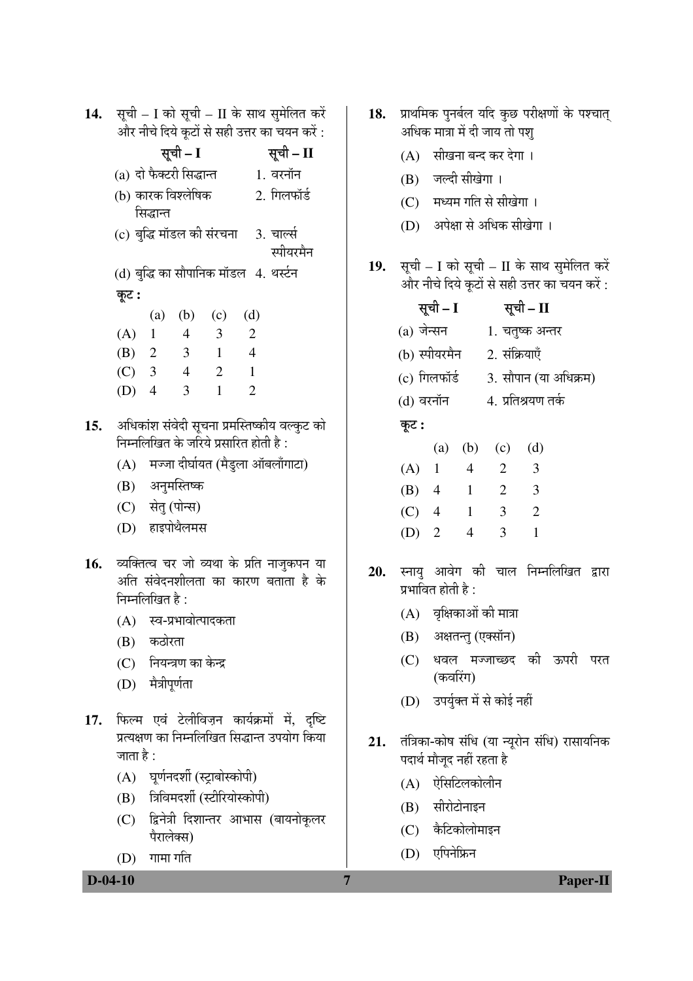| 14.        |                 |                                 |                                                       |                                                                       |                                                        | सूची - I को सूची - II के साथ सुमेलित करें                                                                                                                                  |
|------------|-----------------|---------------------------------|-------------------------------------------------------|-----------------------------------------------------------------------|--------------------------------------------------------|----------------------------------------------------------------------------------------------------------------------------------------------------------------------------|
|            |                 |                                 |                                                       | और नीचे दिये कूटों से सही उत्तर का चयन करें :                         |                                                        |                                                                                                                                                                            |
|            |                 |                                 | सूची – I                                              |                                                                       |                                                        | सूची - II                                                                                                                                                                  |
|            |                 |                                 | (a) दो फैक्टरी सिद्धान्त                              |                                                                       | 1. वरनॉन                                               |                                                                                                                                                                            |
|            |                 |                                 | (b) कारक विश्लेषिक                                    |                                                                       | 2. गिलफॉर्ड                                            |                                                                                                                                                                            |
|            |                 | सिद्धान्त                       |                                                       |                                                                       |                                                        |                                                                                                                                                                            |
|            |                 |                                 |                                                       |                                                                       | (c) बुद्धि मॉडल की संरचना     3.  चार्ल्स<br>स्पीयरमैन |                                                                                                                                                                            |
|            |                 |                                 |                                                       | (d) बुद्धि का सौपानिक मॉडल   4. थर्स्टन                               |                                                        |                                                                                                                                                                            |
|            | कूट :           |                                 |                                                       |                                                                       |                                                        |                                                                                                                                                                            |
|            |                 |                                 |                                                       | (a) (b) (c) (d)                                                       |                                                        |                                                                                                                                                                            |
|            | $(A)$ 1         |                                 | $\overline{\phantom{a}}$                              | $\overline{\mathbf{3}}$                                               | 2                                                      |                                                                                                                                                                            |
|            |                 |                                 | (B) 2 3                                               | $1 \quad 4$                                                           |                                                        |                                                                                                                                                                            |
|            |                 | (C) 3 4                         |                                                       | 2                                                                     | $\overline{1}$                                         |                                                                                                                                                                            |
|            | $(D)$ 4         |                                 | $\overline{3}$                                        | $\overline{1}$                                                        | $\overline{2}$                                         |                                                                                                                                                                            |
| 15.<br>16. | निम्नलिखित है : |                                 | (B) अनुमस्तिष्क<br>(C) सेतु (पोन्स)<br>(D) हाइपोथैलमस | निम्नलिखित के जरिये प्रसारित होती है :<br>(A) स्व-प्रभावोत्पादकता     |                                                        | अधिकांश संवेदी सूचना प्रमस्तिष्कीय वल्कुट को<br>(A) मज्जा दीर्घायत (मैडुला ऑबलॉंगाटा)<br>व्यक्तित्व चर जो व्यथा के प्रति नाजुकपन या<br>अति संवेदनशीलता का कारण बताता है के |
|            |                 | (B) कठोरता<br>(D) मैत्रीपूर्णता | (C) नियन्त्रण का केन्द्र                              |                                                                       |                                                        |                                                                                                                                                                            |
| 17.        | जाता है :       |                                 |                                                       | (A) घूर्णनदर्शी (स्ट्राबोस्कोपी)<br>(B) त्रिविमदर्शी (स्टीरियोस्कोपी) |                                                        | फिल्म एवं टेलीविज़न कार्यक्रमों में, दृष्टि<br>प्रत्यक्षण का निम्नलिखित सिद्धान्त उपयोग किया<br>(C) द्विनेत्री दिशान्तर आभास (बायनोकूलर                                    |
|            |                 | पैरालेक्स)                      |                                                       |                                                                       |                                                        |                                                                                                                                                                            |

 $\overline{7}$ 

 $(D)$  गामा गति

18. प्राथमिक पुनर्बल यदि कुछ परीक्षणों के पश्चात् अधिक मात्रा में दी जाय तो पश्

- (A) सीखना बन्द कर देगा।
- (B) जल्दी सीखेगा ।
- (C) मध्यम गति से सीखेगा।
- (D) अपेक्षा से अधिक सीखेगा।
- 19. सूची I को सूची II के साथ सुमेलित करें .<br>और नीचे दिये कूटों से सही उत्तर का चयन करें :

|               | सूची – I |                                        |                       | सूची – II          |  |  |  |  |
|---------------|----------|----------------------------------------|-----------------------|--------------------|--|--|--|--|
| (a) जेन्सन    |          |                                        |                       | 1. चतुष्क अन्तर    |  |  |  |  |
| (b) स्पीयरमैन |          |                                        |                       | 2. संक्रियाएँ      |  |  |  |  |
| (c) गिलफॉर्ड  |          |                                        | 3. सौपान (या अधिक्रम) |                    |  |  |  |  |
| (d) वरनॉन     |          |                                        |                       | 4. प्रतिश्रयण तर्क |  |  |  |  |
| कूट :         |          |                                        |                       |                    |  |  |  |  |
|               |          |                                        | (a) (b) (c)           | (d)                |  |  |  |  |
| $(A)$ 1       |          | $\overline{4}$                         | $\overline{2}$        | 3                  |  |  |  |  |
| $(B)$ 4       |          | $\overline{1}$                         | 2                     | 3                  |  |  |  |  |
| $(C)$ 4       |          | $\begin{array}{cc} \hline \end{array}$ | 3                     | $\overline{2}$     |  |  |  |  |
| $(D)$ 2       |          | 4                                      | 3                     | 1                  |  |  |  |  |
|               |          |                                        |                       |                    |  |  |  |  |

- 20. स्नायु आवेग की चाल निम्नलिखित द्वारा प्रभावित होती है :
	- $(A)$  वृक्षिकाओं की मात्रा
	- (B) अक्षतन्तु (एक्सॉन)
	- (C) धवल मज्जाच्छद की ऊपरी परत (कवरिंग)
	- (D) उपर्युक्त में से कोई नहीं
- तंत्रिका-कोष संधि (या न्यूरोन संधि) रासायनिक 21. पदार्थ मौजूद नहीं रहता है
	- (A) ऐसिटिलकोलीन
	- (B) सीरोटोनाइन
	- (C) कैटिकोलोमाइन
	- (D) एपिनेफ्रिन

 $D-04-10$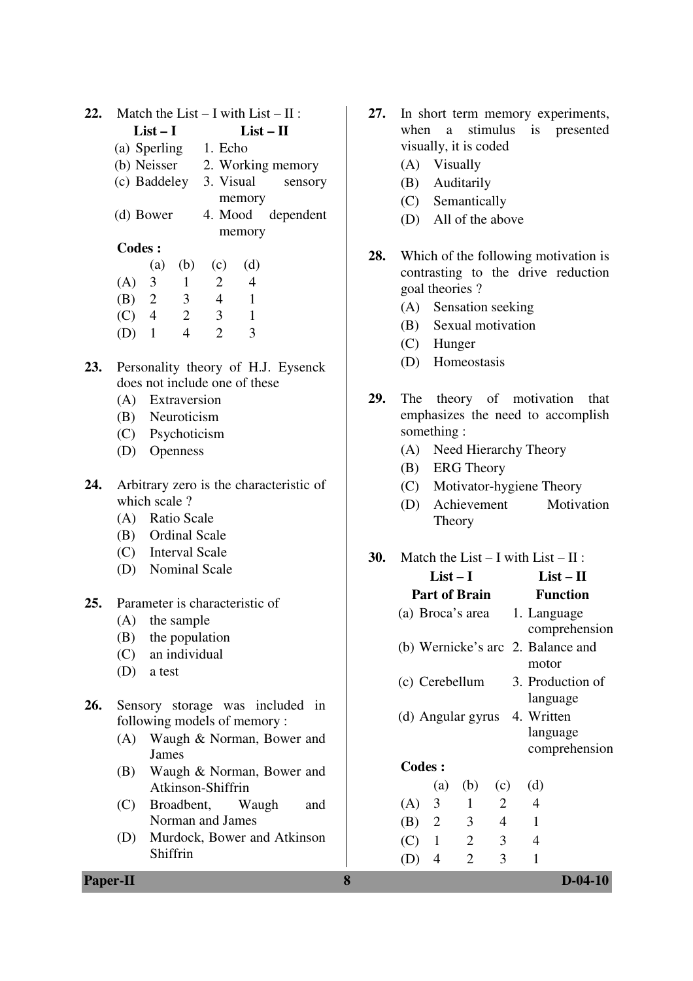| 22. | Match the List $- I$ with List $- II$ :<br>$List - II$<br>$List-I$ |                                |                |                      |                |                                    |
|-----|--------------------------------------------------------------------|--------------------------------|----------------|----------------------|----------------|------------------------------------|
|     |                                                                    |                                |                |                      |                |                                    |
|     |                                                                    |                                |                | (a) Sperling 1. Echo |                |                                    |
|     |                                                                    |                                |                |                      |                | (b) Neisser 2. Working memory      |
|     |                                                                    | (c) Baddeley 3. Visual sensory |                |                      |                |                                    |
|     |                                                                    |                                |                |                      | memory         |                                    |
|     |                                                                    | (d) Bower                      |                |                      |                | 4. Mood dependent                  |
|     |                                                                    |                                |                |                      | memory         |                                    |
|     | <b>Codes:</b>                                                      |                                |                |                      |                |                                    |
|     |                                                                    | (a)                            |                | $(b)$ $(c)$          | (d)            |                                    |
|     | $(A)$ 3                                                            |                                | $\overline{1}$ | 2                    | $\overline{4}$ |                                    |
|     |                                                                    | (B) 2 3                        |                | $\overline{4}$       | $\overline{1}$ |                                    |
|     |                                                                    | (C) 4 2                        |                | $\overline{3}$       | $\overline{1}$ |                                    |
|     | $(D)$ 1                                                            |                                | $\overline{4}$ | 2                    | $\overline{3}$ |                                    |
| 23. |                                                                    |                                |                |                      |                | Personality theory of H.J. Eysenck |

- **23.** Personality theory of H.J. Eysenck does not include one of these
	- (A) Extraversion
	- (B) Neuroticism
	- (C) Psychoticism
	- (D) Openness
- **24.** Arbitrary zero is the characteristic of which scale ?
	- (A) Ratio Scale
	- (B) Ordinal Scale
	- (C) Interval Scale
	- (D) Nominal Scale
- **25.** Parameter is characteristic of
	- (A) the sample
	- (B) the population
	- (C) an individual
	- (D) a test
- **26.** Sensory storage was included in following models of memory :
	- (A) Waugh & Norman, Bower and James
	- (B) Waugh & Norman, Bower and Atkinson-Shiffrin
	- (C) Broadbent, Waugh and Norman and James
	- (D) Murdock, Bower and Atkinson Shiffrin

**27.** In short term memory experiments, when a stimulus is presented visually, it is coded

- (A) Visually
- (B) Auditarily
- (C) Semantically
- (D) All of the above
- **28.** Which of the following motivation is contrasting to the drive reduction goal theories ?
	- (A) Sensation seeking
	- (B) Sexual motivation
	- (C) Hunger
	- (D) Homeostasis
- **29.** The theory of motivation that emphasizes the need to accomplish something :
	- (A) Need Hierarchy Theory
	- (B) ERG Theory
	- (C) Motivator-hygiene Theory
	- (D) Achievement Motivation Theory
- **Paper-II 8 D-04-10 30.** Match the List – I with List – II : **List – I Part of Brain List – II Function** (a) Broca's area 1. Language comprehension (b) Wernicke's arc 2. Balance and motor (c) Cerebellum 3. Production of language (d) Angular gyrus 4. Written language comprehension **Codes :** (a) (b) (c) (d) (A) 3 1 2 4 (B) 2 3 4 1 (C) 1 2 3 4 (D) 4 2 3 1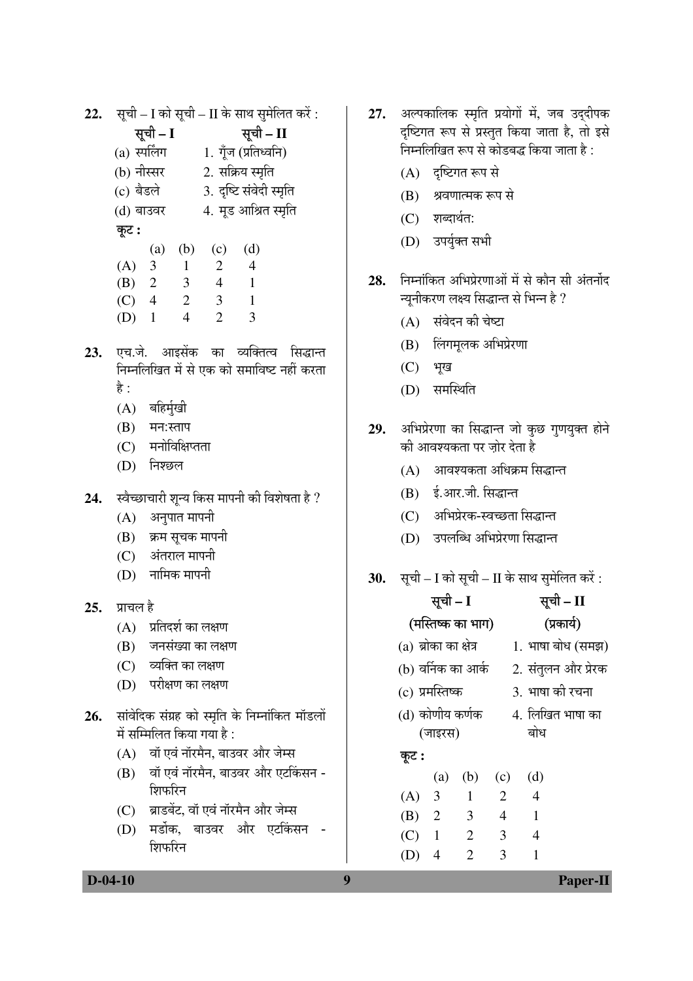22. सूची - I को सूची - II के साथ सुमेलित करें:

|                 | सूची – I |              | सूची – II        |                         |  |  |
|-----------------|----------|--------------|------------------|-------------------------|--|--|
| $(a)$ स्पर्लिंग |          |              |                  | 1. गूँज (प्रतिध्वनि)    |  |  |
| (b) नीस्सर      |          |              | 2. सक्रिय स्मृति |                         |  |  |
| (c) बैडले       |          |              |                  | 3. दृष्टि संवेदी स्मृति |  |  |
| (d) बाउवर       |          |              |                  | 4. मूड आश्रित स्मृति    |  |  |
| कूट :           |          |              |                  |                         |  |  |
|                 | (a)      | (b)          | (c)              | (d)                     |  |  |
| (A)             | 3        | $\mathbf{1}$ | 2                | $\overline{4}$          |  |  |
| (B)             | 2        | 3            | 4                | 1                       |  |  |
| (C)             | 4        | 2            | 3                |                         |  |  |

- $(D)$  1  $\overline{4}$  $\mathcal{D}_{\alpha}$  $\mathcal{Z}$
- 23. एच.जे. आइसेंक का व्यक्तित्व सिद्धान्त निम्नलिखित में से एक को समाविष्ट नहीं करता हे :
	- $(A)$  बहिर्मुखी
	- (B) मन:स्ताप
	- $(C)$  मनोविक्षिप्तता
	- $(D)$  निश्छल
- 24. स्वैच्छाचारी शून्य किस मापनी की विशेषता है ?
	- $(A)$  अनुपात मापनी
	- (B) क्रम सूचक मापनी
	- $(C)$ अंतराल मापनी
	- $(D)$  नामिक मापनी

## $25 \times 10^{-4}$  है

- $(A)$  प्रतिदर्श का लक्षण
- (B) जनसंख्या का लक्षण
- $(C)$  व्यक्ति का लक्षण
- (D) परीक्षण का लक्षण
- 26. सांवेदिक संग्रह को स्मृति के निम्नांकित मॉडलों में सम्मिलित किया गया है :
	- (A) वॉ एवं नॉरमैन, बाउवर और जेम्स
	- (B) वॉ एवं नॉरमैन, बाउवर और एटकिंसन -शिफरिन
	- (C) ब्राडबेंट, वॉ एवं नॉरमैन और जेम्स
	- (D) मर्डोक, बाउवर और एटकिंसन -शिफरिन

 $\boldsymbol{Q}$ 

- 27. अल्पकालिक स्मृति प्रयोगों में, जब उददीपक दृष्टिगत रूप से प्रस्तुत किया जाता है, तो इसे निम्नलिखित रूप से कोडबद्ध किया जाता है :
	- $(A)$  दृष्टिगत रूप से
	- (B) श्रवणात्मक रूप से
	- (C) शब्दार्थत:
	- (D) उपर्युक्त सभी
- 28. निम्नांकित अभिप्रेरणाओं में से कौन सी अंतर्नोद न्यनीकरण लक्ष्य सिद्धान्त से भिन्न है ?
	- (A) संवेदन की चेष्टा
	- (B) लिंगमूलक अभिप्रेरणा
	- (C) भूख
	- (D) समस्थिति
- 29. अभिप्रेरणा का सिद्धान्त जो कुछ गुणयुक्त होने की आवश्यकता पर ज़ोर देता है
	- (A) आवश्यकता अधिक्रम सिद्धान्त
	- (B) ई.आर.जी. सिद्धान्त
	- (C) अभिप्रेरक-स्वच्छता सिद्धान्त
	- (D) उपलब्धि अभिप्रेरणा सिद्धान्त
- 30. सूची I को सूची II के साथ सुमेलित करें :

|                       | सूची – I     |                   |     |  | सूची – II           |
|-----------------------|--------------|-------------------|-----|--|---------------------|
|                       |              | (मस्तिष्क का भाग) |     |  | (प्रकार्य)          |
| (a) ब्रोका का क्षेत्र |              |                   |     |  | 1. भाषा बोध (समझ)   |
| (b) वर्निक का आर्क    |              |                   |     |  | 2. संतुलन और प्रेरक |
| (c) प्रमस्तिष्क       |              |                   |     |  | 3. भाषा की रचना     |
| (d) कोणीय कर्णक       |              |                   |     |  | 4. लिखित भाषा का    |
|                       | (जाइरस)      |                   |     |  | बोध                 |
| कूट :                 |              |                   |     |  |                     |
|                       | (a)          | (b)               | (c) |  | (d)                 |
| $(A)$ 3               |              | $\mathbf{1}$      | 2   |  | $\overline{4}$      |
| (B) 2                 |              | 3                 | 4   |  | 1                   |
| (C)                   | $\mathbf{1}$ | 2                 | 3   |  | 4                   |
| (D)                   | 4            | 2                 | 3   |  | 1                   |

 $D-04-10$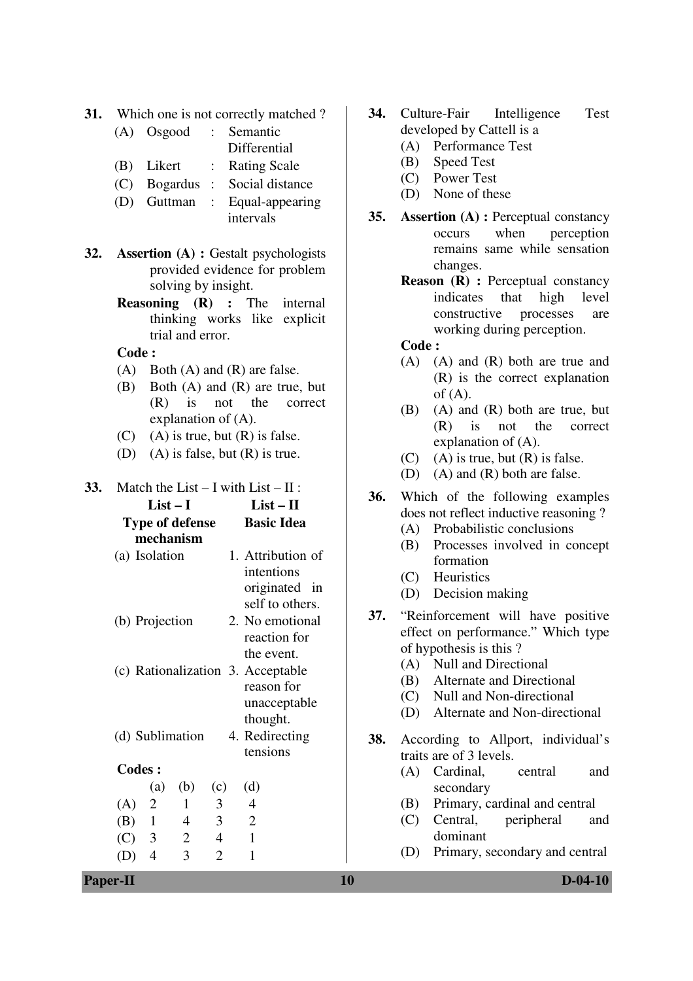- **31.** Which one is not correctly matched ?
	- (A) Osgood : Semantic Differential
	- (B) Likert : Rating Scale
	- (C) Bogardus : Social distance
	- (D) Guttman : Equal-appearing intervals
- **32. Assertion (A) :** Gestalt psychologists provided evidence for problem solving by insight.
	- **Reasoning (R) :** The internal thinking works like explicit trial and error.

**Code :**

- (A) Both (A) and (R) are false.
- (B) Both (A) and (R) are true, but (R) is not the correct explanation of (A).
- $(C)$  (A) is true, but  $(R)$  is false.
- (D) (A) is false, but (R) is true.
- **Paper-II 10 D-04-10 33.** Match the List – I with List – II : **List – I Type of defense mechanism List – II Basic Idea** (a) Isolation 1. Attribution of intentions originated in self to others. (b) Projection 2. No emotional reaction for the event. (c) Rationalization 3. Acceptable reason for unacceptable thought. (d) Sublimation 4. Redirecting tensions **Codes :** (a) (b) (c) (d)  $(A)$  2 1 3 4 (B) 1 4 3 2 (C) 3 2 4 1 (D) 4 3 2 1
- **34.** Culture-Fair Intelligence Test developed by Cattell is a
	- (A) Performance Test
	- (B) Speed Test
	- (C) Power Test
	- (D) None of these
- **35. Assertion (A) :** Perceptual constancy occurs when perception remains same while sensation changes.
	- **Reason (R) : Perceptual constancy** indicates that high level constructive processes are working during perception.

**Code :**

- (A) (A) and (R) both are true and (R) is the correct explanation of  $(A)$ .
- (B) (A) and (R) both are true, but (R) is not the correct explanation of (A).
- $(C)$  (A) is true, but  $(R)$  is false.
- (D) (A) and (R) both are false.
- **36.** Which of the following examples does not reflect inductive reasoning ?
	- (A) Probabilistic conclusions
	- (B) Processes involved in concept formation
	- (C) Heuristics
	- (D) Decision making
- **37.** "Reinforcement will have positive effect on performance." Which type of hypothesis is this ?
	- (A) Null and Directional
	- (B) Alternate and Directional
	- (C) Null and Non-directional
	- (D) Alternate and Non-directional
- **38.** According to Allport, individual's traits are of 3 levels.
	- (A) Cardinal, central and secondary
	- (B) Primary, cardinal and central
	- (C) Central, peripheral and dominant
	- (D) Primary, secondary and central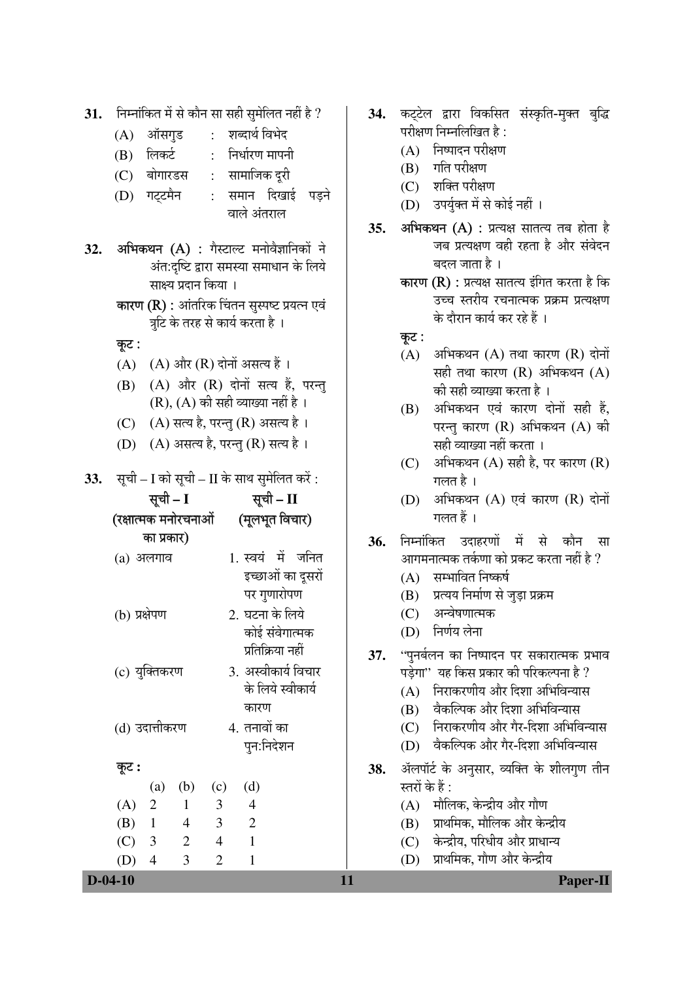|     | $D-04-10$<br>11                                                                    |     | Paper-II                                                                                       |
|-----|------------------------------------------------------------------------------------|-----|------------------------------------------------------------------------------------------------|
|     | 3<br>$\overline{4}$<br>$\overline{2}$<br>(D)<br>1                                  |     | प्राथमिक, गौण और केन्द्रीय<br>(D)                                                              |
|     | $\mathbf{2}$<br>$\mathbf{1}$<br>(C)<br>3<br>$\overline{4}$                         |     | केन्द्रीय, परिधीय और प्राधान्य<br>(C)                                                          |
|     | (B)<br>3<br>$\mathbf{2}$<br>$\mathbf{1}$<br>4                                      |     | प्राथमिक, मौलिक और केन्द्रीय<br>(B)                                                            |
|     | (A)<br>$\overline{2}$<br>3<br>$\overline{4}$<br>$\mathbf{1}$                       |     | मौलिक, केन्द्रीय और गौण<br>(A)                                                                 |
|     | (d)<br>(b)<br>$\left( a\right)$<br>(c)                                             |     | स्तरों के हैं :                                                                                |
|     | कूट :                                                                              | 38. | ॲलपॉर्ट के अनुसार, व्यक्ति के शीलगुण तीन                                                       |
|     | पुन:निदेशन                                                                         |     | वैकल्पिक और गैर-दिशा अभिविन्यास<br>(D)                                                         |
|     | (d) उदात्तीकरण<br>4. तनावों का                                                     |     | निराकरणीय और गैर-दिशा अभिविन्यास<br>(C)                                                        |
|     | कारण                                                                               |     | वैकल्पिक और दिशा अभिविन्यास<br>(B)                                                             |
|     | के लिये स्वीकार्य                                                                  |     | निराकरणीय और दिशा अभिविन्यास<br>(A)                                                            |
|     | 3. अस्वीकार्य विचार<br>(c) युक्तिकरण                                               |     | पड़ेगा'' यह किस प्रकार की परिकल्पना है ?                                                       |
|     | प्रतिक्रिया नहीं                                                                   | 37. | ''पुनर्बलन का निष्पादन पर सकारात्मक प्रभाव                                                     |
|     | कोई संवेगात्मक                                                                     |     | (D) निर्णय लेना                                                                                |
|     | 2. घटना के लिये<br>(b) प्रक्षेपण                                                   |     | अन्वेषणात्मक<br>(C)                                                                            |
|     | पर गुणारोपण                                                                        |     | प्रत्यय निर्माण से जुड़ा प्रक्रम<br>(B)                                                        |
|     | इच्छाओं का दूसरों                                                                  |     | सम्भावित निष्कर्ष<br>(A)                                                                       |
|     | 1. स्वयं में जनित<br>$(a)$ अलगाव                                                   |     | आगमनात्मक तर्कणा को प्रकट करता नहीं है ?                                                       |
|     | का प्रकार)                                                                         | 36. | निम्नांकित उदाहरणों में से कौन सा                                                              |
|     | (रक्षात्मक मनोरचनाओं (मूलभूत विचार)                                                |     | गलत हैं ।                                                                                      |
|     | सूची – I<br>सूची – II                                                              |     | अभिकथन (A) एवं कारण (R) दोनों<br>(D)                                                           |
| 33. | सूची – I को सूची – II के साथ सुमेलित करें :                                        |     | गलत है ।                                                                                       |
|     |                                                                                    |     | अभिकथन $(A)$ सही है, पर कारण $(R)$<br>(C)                                                      |
|     | $(A)$ असत्य है, परन्तु $(R)$ सत्य है।<br>(D)                                       |     | परन्तु कारण (R) अभिकथन (A) की<br>सही व्याख्या नहीं करता ।                                      |
|     | (A) सत्य है, परन्तु (R) असत्य है।<br>(C)                                           |     | अभिकथन एवं कारण दोनों सही हैं,<br>(B)                                                          |
|     | (A) और (R) दोनों सत्य हैं, परन्तु<br>(B)<br>$(R)$ , $(A)$ की सही व्याख्या नहीं है। |     | की सही व्याख्या करता है ।                                                                      |
|     | $(A)$ और $(R)$ दोनों असत्य हैं ।<br>(A)                                            |     | सही तथा कारण $(R)$ अभिकथन $(A)$                                                                |
|     | कूट :                                                                              |     | अभिकथन $(A)$ तथा कारण $(R)$ दोनों<br>(A)                                                       |
|     | त्रुटि के तरह से कार्य करता है ।                                                   |     | कूट :                                                                                          |
|     | <b>कारण (R) :</b> आंतरिक चिंतन सुस्पष्ट प्रयत्न एवं                                |     | के दौरान कार्य कर रहे हैं ।                                                                    |
|     | साक्ष्य प्रदान किया ।                                                              |     | <b>कारण (R) :</b> प्रत्यक्ष सातत्य इंगित करता है कि<br>उच्च स्तरीय रचनात्मक प्रक्रम प्रत्यक्षण |
|     | अंत:दृष्टि द्वारा समस्या समाधान के लिये                                            |     | बदल जाता है।                                                                                   |
| 32. | अभिकथन (A) : गैस्टाल्ट मनोवैज्ञानिकों ने                                           |     | जब प्रत्यक्षण वही रहता है और संवेदन                                                            |
|     |                                                                                    | 35. | अभिकथन (A) : प्रत्यक्ष सातत्य तब होता है                                                       |
|     | वाले अंतराल                                                                        |     | (D) उपर्युक्त में से कोई नहीं ।                                                                |
|     | समान दिखाई पड़ने<br>गट्टमैन<br>(D)<br>$\cdot$                                      |     | (C) शक्ति परीक्षण                                                                              |
|     | सामाजिक दूरी<br>बोगारडस<br>(C)<br>$\mathbb{R}^{\mathbb{Z}}$                        |     | गति परीक्षण<br>(B)                                                                             |
|     | : निर्धारण मापनी<br>लिकर्ट<br>(B)                                                  |     | (A) निष्पादन परीक्षण                                                                           |
|     | : शब्दार्थ विभेद<br>ऑसगुड<br>(A)                                                   |     | परीक्षण निम्नलिखित है:                                                                         |

31. निम्नांकित में से कौन सा सही सुमेलित नहीं है ? | 34. कट्टेल द्वारा विकसित संस्कृति-मुक्त बुद्धि

- त्र
- न<br>न
	- Paper-II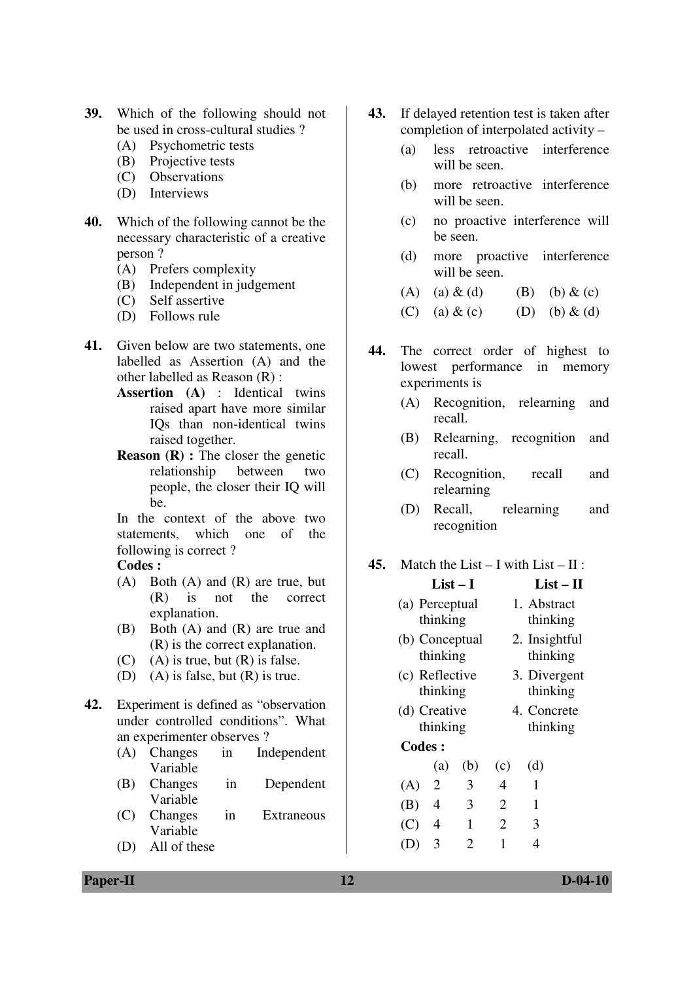- **39.** Which of the following should not be used in cross-cultural studies ?
	- (A) Psychometric tests
	- (B) Projective tests
	- (C) Observations
	- (D) Interviews
- **40.** Which of the following cannot be the necessary characteristic of a creative person ?
	- (A) Prefers complexity
	- (B) Independent in judgement
	- (C) Self assertive
	- (D) Follows rule
- **41.** Given below are two statements, one labelled as Assertion (A) and the other labelled as Reason (R) :
	- **Assertion (A)** : Identical twins raised apart have more similar IQs than non-identical twins raised together.
	- **Reason (R)**: The closer the genetic relationship between two people, the closer their IQ will be.

In the context of the above two statements, which one of the following is correct ?

### **Codes :**

- (A) Both (A) and (R) are true, but (R) is not the correct explanation.
- (B) Both (A) and (R) are true and (R) is the correct explanation.
- $(C)$  (A) is true, but  $(R)$  is false.
- (D) (A) is false, but  $(R)$  is true.
- **42.** Experiment is defined as "observation under controlled conditions". What an experimenter observes ?
	- (A) Changes in Independent Variable
	- (B) Changes in Dependent Variable
	- (C) Changes in Extraneous Variable
	- (D) All of these
- **43.** If delayed retention test is taken after completion of interpolated activity –
	- (a) less retroactive interference will be seen.
	- (b) more retroactive interference will be seen.
	- (c) no proactive interference will be seen.
	- (d) more proactive interference will be seen.
	- (A) (a)  $\&$  (d) (B) (b)  $\&$  (c)
	- (C) (a)  $\&$  (c) (D) (b)  $\&$  (d)
- **44.** The correct order of highest to lowest performance in memory experiments is
	- (A) Recognition, relearning and recall.
	- (B) Relearning, recognition and recall.
	- (C) Recognition, recall and relearning
	- (D) Recall, relearning and recognition
- **45.** Match the List I with List II :
	- **List I List II** (a) Perceptual thinking 1. Abstract thinking (b) Conceptual thinking 2. Insightful thinking (c) Reflective thinking 3. Divergent thinking (d) Creative thinking 4. Concrete thinking

#### **Codes :**

|     | (a)            | (b) | (c) | (d) |
|-----|----------------|-----|-----|-----|
| (A) | $\overline{2}$ | 3   | 4   | 1   |
| (B) | 4              | 3   | 2   | 1   |
| (C) | $\overline{4}$ | 1   | 2   | 3   |
| (D) | 3              | 2   | 1   | 4   |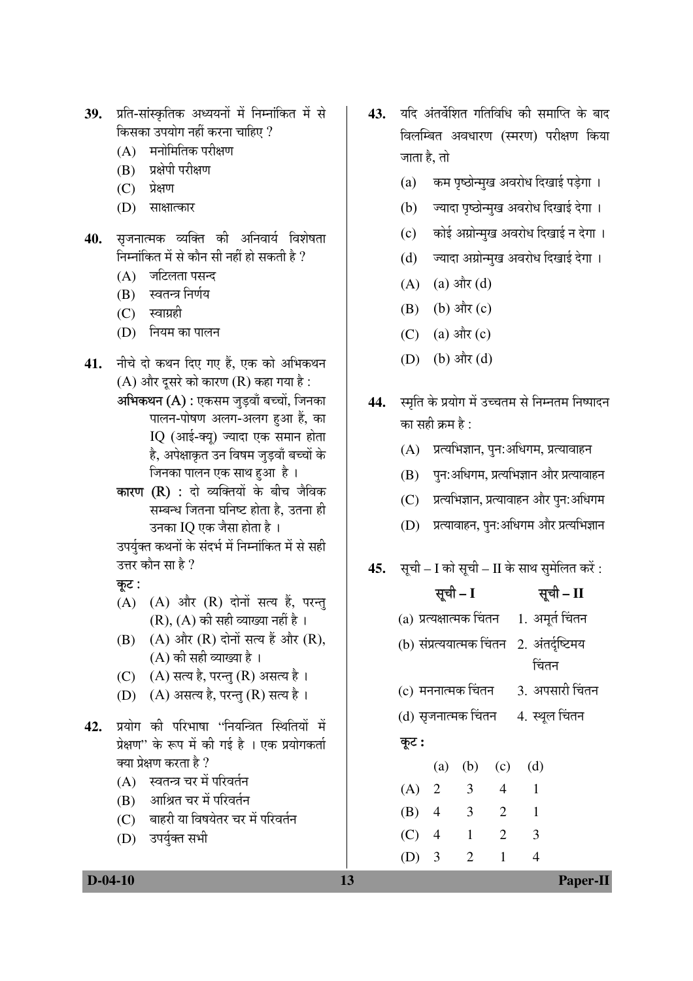- 39. प्रति-सांस्कृतिक अध्ययनों में निम्नांकित में से किसका उपयोग नहीं करना चाहिए ?
	- $(A)$  मनोमितिक परीक्षण
	- (B) प्रक्षेपी परीक्षण
	- $(C)$ प्रेक्षण
	- (D) साक्षात्कार
- सुजनात्मक व्यक्ति की अनिवार्य विशेषता 40. निम्नांकित में से कौन सी नहीं हो सकती है ?
	- $(A)$  जटिलता पसन्द
	- स्वतन्त्र निर्णय (B)
	- स्वाग्रही  $(C)$
	- (D) नियम का पालन
- नीचे दो कथन दिए गए हैं. एक को अभिकथन 41.  $(A)$  और दूसरे को कारण  $(R)$  कहा गया है : अभिकथन (A) : एकसम जुड़वाँ बच्चों, जिनका
	- पालन-पोषण अलग-अलग हुआ हैं, का IQ (आई-क्यु) ज्यादा एक समान होता है, अपेक्षाकृत उन विषम जडवाँ बच्चों के जिनका पालन एक साथ हुआ है ।
	- **कारण (R) :** दो व्यक्तियों के बीच जैविक सम्बन्ध जितना घनिष्ट होता है. उतना ही उनका IQ एक जैसा होता है ।

उपर्युक्त कथनों के संदर्भ में निम्नांकित में से सही उत्तर कौन सा है ?

- कट:
- (A) (A) और (R) दोनों सत्य हैं, परन्तु  $(R)$ ,  $(A)$  की सही व्याख्या नहीं है।
- (A) और (R) दोनों सत्य हैं और (R), (B)  $(A)$  की सही व्याख्या है।
- (C)  $(A)$  सत्य है, परन्तु (R) असत्य है।
- (D) (A) असत्य है, परन्तु (R) सत्य है।
- प्रयोग की परिभाषा ''नियन्त्रित स्थितियों में 42. प्रेक्षण" के रूप में की गई है । एक प्रयोगकर्ता क्या प्रेक्षण करता है ?
	- (A) स्वतन्त्र चर में परिवर्तन
	- (B) आश्रित चर में परिवर्तन
	- (C) बाहरी या विषयेतर चर में परिवर्तन
	- (D) उपर्युक्त सभी
- 43. यदि अंतर्वेशित गतिविधि की समाप्ति के बाद विलम्बित अवधारण (स्मरण) परीक्षण किया जाता है, तो
	- (a) कम पृष्ठोन्मुख अवरोध दिखाई पड़ेगा।
	- (b) ज्यादा पृष्ठोन्मुख अवरोध दिखाई देगा।
	- (c) कोई अग्रोन्मुख अवरोध दिखाई न देगा।
	- (d) ज्यादा अग्रोन्मुख अवरोध दिखाई देगा।
	- $(A)$  (a) और (d)
	- $(B)$  (b) और  $(c)$
	- (a) और (c)  $(C)$
	- (D) (b) और (d)
- 44. स्मृति के प्रयोग में उच्चतम से निम्नतम निष्पादन का सही क्रम है :
	- (A) प्रत्यभिज्ञान, पुन:अधिगम, प्रत्यावाहन
	- (B) पुन:अधिगम, प्रत्यभिज्ञान और प्रत्यावाहन
	- (C) प्रत्यभिज्ञान, प्रत्यावाहन और पुन:अधिगम
	- (D) प्रत्यावाहन, पुन:अधिगम और प्रत्यभिज्ञान
- **45.** सूची I को सूची II के साथ सुमेलित करें:

| सूची – I                                      | सूची - II       |
|-----------------------------------------------|-----------------|
| (a) प्रत्यक्षात्मक चिंतन     1.  अमूर्त चिंतन |                 |
| (b) संप्रत्ययात्मक चिंतन 2. अंतर्दृष्टिमय     |                 |
|                                               | चिंतन           |
| (c) मननात्मक चिंतन                            | 3. अपसारी चिंतन |
| (d) सृजनात्मक चिंतन                           | 4. स्थूल चिंतन  |

## कूट :

13

|       | (a)            | (b)                   | (c) | (d) |
|-------|----------------|-----------------------|-----|-----|
| (A)   | $\overline{2}$ | 3                     | 4   | 1   |
| (B)   | $\overline{4}$ | 3                     | 2   | 1   |
| (C)   | $\overline{4}$ | 1                     | 2   | 3   |
| (D) 3 |                | $\mathcal{D}_{\cdot}$ | 1   | 4   |

 $D-04-10$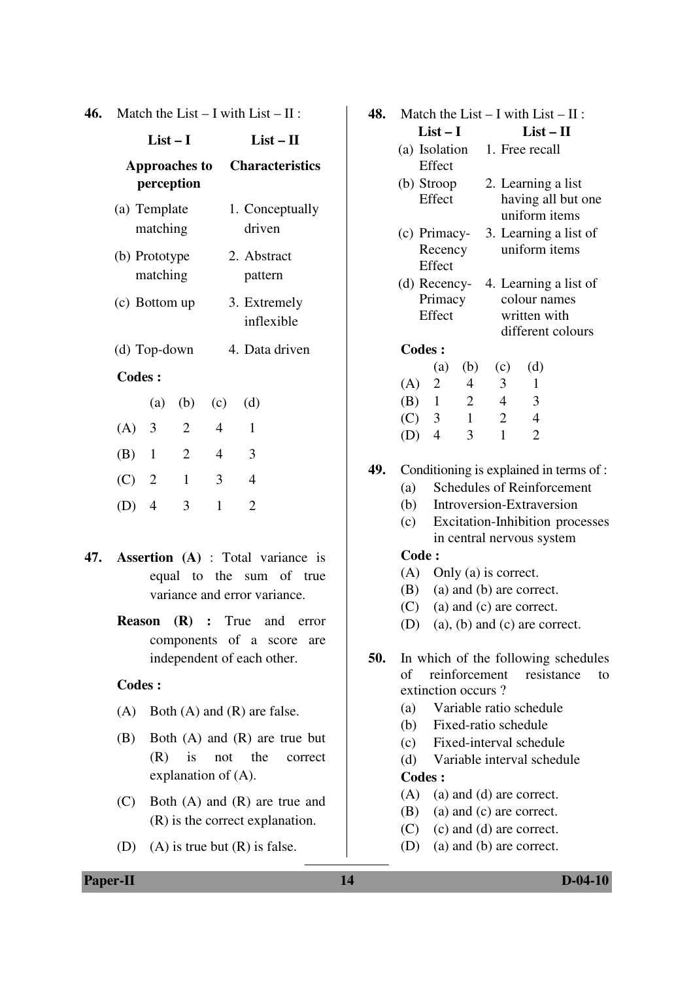|  | 46. Match the List – I with List – II : |  |  |  |  |
|--|-----------------------------------------|--|--|--|--|
|--|-----------------------------------------|--|--|--|--|

|                           | $List-I$                |                                    |                | $List-II$                  |
|---------------------------|-------------------------|------------------------------------|----------------|----------------------------|
|                           |                         | <b>Approaches to</b><br>perception |                | <b>Characteristics</b>     |
| (a) Template<br>matching  |                         |                                    |                | 1. Conceptually<br>driven  |
| (b) Prototype<br>matching |                         |                                    |                | 2. Abstract<br>pattern     |
| (c) Bottom up             |                         |                                    |                | 3. Extremely<br>inflexible |
| (d) Top-down              |                         |                                    |                | 4. Data driven             |
| <b>Codes:</b>             |                         |                                    |                |                            |
|                           | (a)                     | (b)                                | (c)            | (d)                        |
| (A)                       | $\overline{\mathbf{3}}$ | 2                                  | $\overline{4}$ | 1                          |
| $(B)$ 1                   |                         | $\overline{2}$                     | 4              | 3                          |
| $(C)$ 2                   |                         | 1                                  | 3              | 4                          |
| (D)                       | 4                       | 3                                  | 1              | $\mathfrak{D}$             |

- **47. Assertion (A)** : Total variance is equal to the sum of true variance and error variance.
	- **Reason (R) :** True and error components of a score are independent of each other.

#### **Codes :**

- (A) Both (A) and (R) are false.
- (B) Both (A) and (R) are true but (R) is not the correct explanation of (A).
- (C) Both (A) and (R) are true and (R) is the correct explanation.
- (D) (A) is true but  $(R)$  is false.

| 48. | Match the List $- I$ with List $- II$ :                 |                                   |                |                |                                                |                       |  |
|-----|---------------------------------------------------------|-----------------------------------|----------------|----------------|------------------------------------------------|-----------------------|--|
|     |                                                         | List – I                          |                |                | $List-II$                                      |                       |  |
|     |                                                         | Effect                            |                |                | (a) Isolation 1. Free recall                   |                       |  |
|     |                                                         | Effect                            |                |                | (b) Stroop 2. Learning a list<br>uniform items | having all but one    |  |
|     |                                                         | (c) Primacy-<br>Recency<br>Effect |                |                | uniform items                                  | 3. Learning a list of |  |
|     | (d) Recency- 4. Learning a list of<br>Primacy<br>Effect |                                   |                |                | colour names<br>written with                   |                       |  |
|     |                                                         |                                   |                |                |                                                | different colours     |  |
|     | <b>Codes:</b>                                           |                                   |                |                |                                                |                       |  |
|     |                                                         | (a)                               | (b)            | (c)            | (d)                                            |                       |  |
|     | (A) 2                                                   |                                   | $\overline{4}$ | 3              | 1                                              |                       |  |
|     |                                                         | $(B)$ 1 2                         |                | $\overline{4}$ | $\overline{\phantom{a}3}$                      |                       |  |
|     |                                                         | (C) 3 1                           |                | $\overline{2}$ | $\overline{4}$                                 |                       |  |
|     | (D)                                                     | $\overline{4}$                    | 3              | 1              | $\overline{2}$                                 |                       |  |
|     |                                                         |                                   |                |                |                                                |                       |  |

- **49.** Conditioning is explained in terms of :
	- (a) Schedules of Reinforcement
	- (b) Introversion-Extraversion
	- (c) Excitation-Inhibition processes in central nervous system

#### **Code :**

- (A) Only (a) is correct.
- (B) (a) and (b) are correct.
- (C) (a) and (c) are correct.
- (D) (a), (b) and (c) are correct.
- **50.** In which of the following schedules of reinforcement resistance to extinction occurs ?
	- (a) Variable ratio schedule
	- (b) Fixed-ratio schedule
	- (c) Fixed-interval schedule
	- (d) Variable interval schedule **Codes :**
	- (A) (a) and (d) are correct.
	- (B) (a) and (c) are correct.
	- (C) (c) and (d) are correct.
	- (D) (a) and (b) are correct.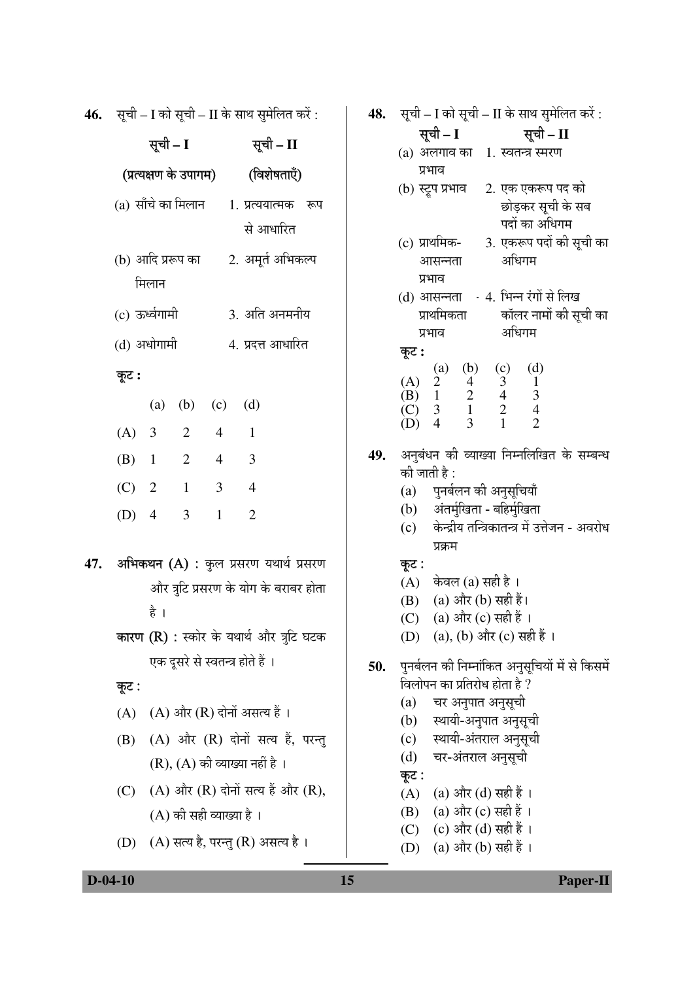**46.** सूची - I को सूची - II के साथ सुमेलित करें:

|                                                 | सूची – I |                       |                         | सूची – II                             |  |  |
|-------------------------------------------------|----------|-----------------------|-------------------------|---------------------------------------|--|--|
|                                                 |          | (प्रत्यक्षण के उपागम) |                         | (विशेषताएँ)                           |  |  |
| (a) साँचे का मिलान                              |          |                       |                         | 1. प्रत्ययात्मक रूप                   |  |  |
|                                                 |          |                       |                         | से आधारित                             |  |  |
| (b) आदि प्ररूप का                               |          |                       |                         | 2. अमूर्त अभिकल्प                     |  |  |
| मिलान                                           |          |                       |                         |                                       |  |  |
| (c) ऊर्ध्वगामी                                  |          |                       |                         | 3. अति अनमनीय                         |  |  |
| (d) अधोगामी                                     |          |                       |                         | 4. प्रदत्त आधारित                     |  |  |
| कूट :                                           |          |                       |                         |                                       |  |  |
|                                                 |          | (a) (b) (c) (d)       |                         |                                       |  |  |
| $(A)$ 3                                         |          | $\overline{2}$        | $4 \quad 1$             |                                       |  |  |
|                                                 |          | (B) $1 \t2 \t4 \t3$   |                         |                                       |  |  |
|                                                 | (C) 2 1  |                       | $\overline{\mathbf{3}}$ | $\overline{4}$                        |  |  |
| $(D)$ 4                                         |          | $\overline{3}$        | 1                       | $\overline{2}$                        |  |  |
| अभिकथन (A) : कुल प्रसरण यथार्थ प्रसरण           |          |                       |                         |                                       |  |  |
|                                                 |          |                       |                         | और त्रुटि प्रसरण के योग के बराबर होता |  |  |
|                                                 | है ।     |                       |                         |                                       |  |  |
| <b>कारण (R) :</b> स्कोर के यथार्थ और त्रुटि घटक |          |                       |                         |                                       |  |  |

कूट :

47.

 $(A)$   $(A)$  और  $(R)$  दोनों असत्य हैं।

एक दूसरे से स्वतन्त्र होते हैं ।

- (B) (A) और (R) दोनों सत्य हैं, परन्तु  $(R)$ ,  $(A)$  की व्याख्या नहीं है।
- (C)  $(A)$  और  $(R)$  दोनों सत्य हैं और  $(R)$ ,  $(A)$  की सही व्याख्या है।
- (D) (A) सत्य है, परन्तु (R) असत्य है।

सूची – I को सूची – II के साथ सुमेलित करें : 48.

- सूची  $\mathbf{I}$ सची –  $II$ (a) अलगाव का 1. स्वतन्त्र स्मरण प्रभाव (b) स्ट्रप प्रभाव 2. एक एकरूप पद को छोड़कर सूची के सब पदों का अधिगम 3. एकरूप पदों की सूची का (c) प्राथमिक-अधिगम आसन्नता प्रभाव (d) आसन्नता . 4. भिन्न रंगों से लिख कॉलर नामों की सूची का प्राथमिकता अधिगम प्रभाव कूट:  $(d)$  $(b)$  $(c)$ (a)  $(A)$  $\overline{4}$ 3  $\mathbf{1}$ 2  $\overline{2}$  $\overline{3}$  $\overline{4}$  $\overline{1}$ (B)  $(C)$  $\mathfrak{Z}$  $\mathbf{1}$  $\mathbf{2}$  $\overline{4}$
- 49. अनुबंधन की व्याख्या निम्नलिखित के सम्बन्ध की जाती है :

 $\mathbf{1}$ 

पनर्बलन की अनुसुचियाँ  $(a)$ 

 $\overline{3}$ 

 $\overline{4}$ 

 $(D)$ 

- अंतर्मुखिता बहिर्मुखिता  $(b)$
- $(c)$ केन्द्रीय तन्त्रिकातन्त्र में उत्तेजन - अवरोध प्रक्रम

 $\overline{2}$ 

## कुट:

- $(A)$  केवल (a) सही है।
- (B) (a) और (b) सही हैं।
- (a) और (c) सही हैं ।  $(C)$
- (a), (b) और (c) सही हैं ।  $(D)$
- पुनर्बलन की निम्नांकित अनुसूचियों में से किसमें 50. विलोपन का प्रतिरोध होता है ?
	- चर अनुपात अनुसूची  $(a)$
	- स्थायी-अनुपात अनुसूची  $(b)$
	- $(c)$ स्थायी-अंतराल अनुसूची
	- $(d)$ चर-अंतराल अनुसूची

कुट:

- (a) और (d) सही हैं ।  $(A)$
- (a) और (c) सही हैं । (B)
- (C) (c) और (d) सही हैं ।
- (D) (a) और (b) सही हैं ।

 $D-04-10$